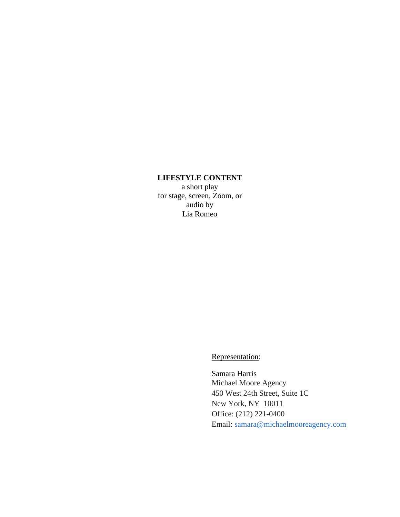# **LIFESTYLE CONTENT**

a short play for stage, screen, Zoom, or audio by Lia Romeo

Representation:

Samara Harris Michael Moore Agency 450 West 24th Street, Suite 1C New York, NY 10011 Office: (212) 221-0400 Email: [samara@michaelmooreagency.com](mailto:samara@michaelmooreagency.com)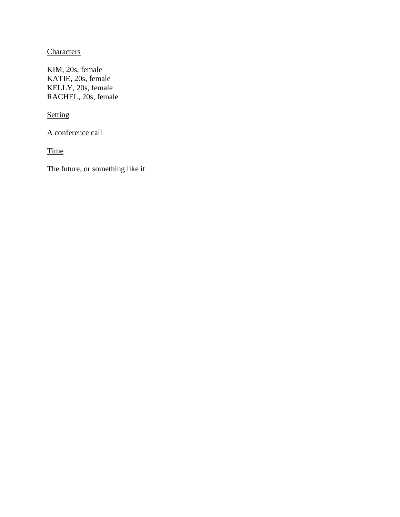# **Characters**

KIM, 20s, female KATIE, 20s, female KELLY, 20s, female RACHEL, 20s, female

**Setting** 

A conference call

**Time** 

The future, or something like it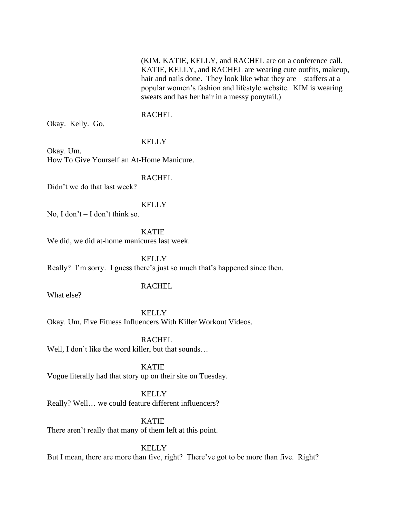(KIM, KATIE, KELLY, and RACHEL are on a conference call. KATIE, KELLY, and RACHEL are wearing cute outfits, makeup, hair and nails done. They look like what they are – staffers at a popular women's fashion and lifestyle website. KIM is wearing sweats and has her hair in a messy ponytail.)

### RACHEL

Okay. Kelly. Go.

**KELLY** 

Okay. Um. How To Give Yourself an At-Home Manicure.

RACHEL

Didn't we do that last week?

KELLY

No, I don't – I don't think so.

KATIE

We did, we did at-home manicures last week.

**KELLY** Really? I'm sorry. I guess there's just so much that's happened since then.

### **RACHEL**

What else?

KELLY Okay. Um. Five Fitness Influencers With Killer Workout Videos.

RACHEL Well, I don't like the word killer, but that sounds...

KATIE Vogue literally had that story up on their site on Tuesday.

KELLY Really? Well… we could feature different influencers?

KATIE There aren't really that many of them left at this point.

KELLY But I mean, there are more than five, right? There've got to be more than five. Right?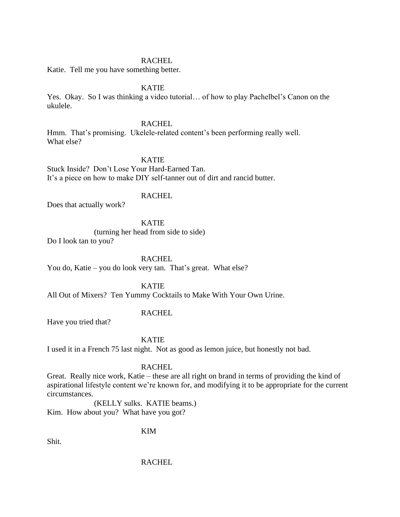# RACHEL

Katie. Tell me you have something better.

# KATIE

Yes. Okay. So I was thinking a video tutorial… of how to play Pachelbel's Canon on the ukulele.

### **RACHEL**

Hmm. That's promising. Ukelele-related content's been performing really well. What else?

### KATIE

Stuck Inside? Don't Lose Your Hard-Earned Tan. It's a piece on how to make DIY self-tanner out of dirt and rancid butter.

### **RACHEL**

Does that actually work?

# KATIE

(turning her head from side to side)

Do I look tan to you?

RACHEL

You do, Katie – you do look very tan. That's great. What else?

KATIE

All Out of Mixers? Ten Yummy Cocktails to Make With Your Own Urine.

# RACHEL

Have you tried that?

KATIE

I used it in a French 75 last night. Not as good as lemon juice, but honestly not bad.

### RACHEL

Great. Really nice work, Katie – these are all right on brand in terms of providing the kind of aspirational lifestyle content we're known for, and modifying it to be appropriate for the current circumstances.

(KELLY sulks. KATIE beams.) Kim. How about you? What have you got?

# KIM

Shit.

# RACHEL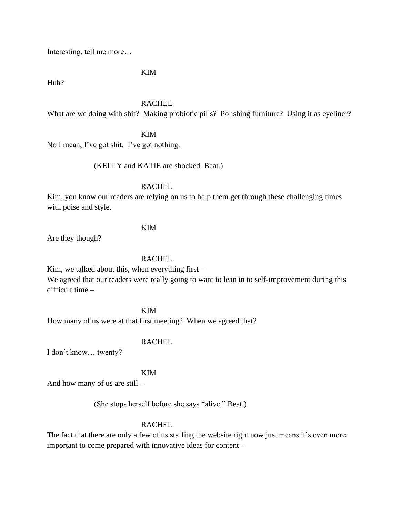Interesting, tell me more…

KIM

Huh?

### RACHEL

What are we doing with shit? Making probiotic pills? Polishing furniture? Using it as eyeliner?

KIM

No I mean, I've got shit. I've got nothing.

(KELLY and KATIE are shocked. Beat.)

### RACHEL

Kim, you know our readers are relying on us to help them get through these challenging times with poise and style.

# KIM

Are they though?

# RACHEL

Kim, we talked about this, when everything first  $-$ 

We agreed that our readers were really going to want to lean in to self-improvement during this difficult time –

KIM

How many of us were at that first meeting? When we agreed that?

# **RACHEL**

I don't know… twenty?

# KIM

And how many of us are still –

(She stops herself before she says "alive." Beat.)

# RACHEL

The fact that there are only a few of us staffing the website right now just means it's even more important to come prepared with innovative ideas for content –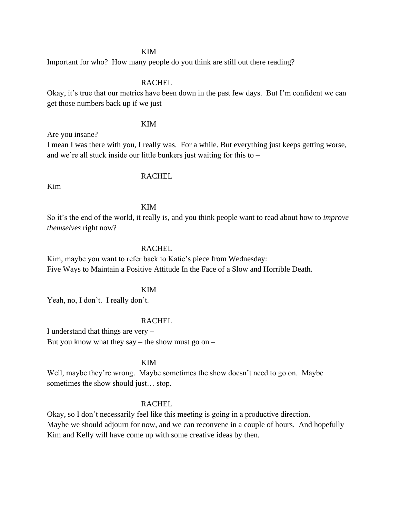### KIM

Important for who? How many people do you think are still out there reading?

# **RACHEL**

Okay, it's true that our metrics have been down in the past few days. But I'm confident we can get those numbers back up if we just –

#### KIM

Are you insane?

I mean I was there with you, I really was. For a while. But everything just keeps getting worse, and we're all stuck inside our little bunkers just waiting for this to –

# RACHEL

 $Kim -$ 

### KIM

So it's the end of the world, it really is, and you think people want to read about how to *improve themselves* right now?

#### RACHEL

Kim, maybe you want to refer back to Katie's piece from Wednesday: Five Ways to Maintain a Positive Attitude In the Face of a Slow and Horrible Death.

#### KIM

Yeah, no, I don't. I really don't.

#### RACHEL

I understand that things are very – But you know what they say – the show must go on –

### KIM

Well, maybe they're wrong. Maybe sometimes the show doesn't need to go on. Maybe sometimes the show should just... stop.

### RACHEL

Okay, so I don't necessarily feel like this meeting is going in a productive direction. Maybe we should adjourn for now, and we can reconvene in a couple of hours. And hopefully Kim and Kelly will have come up with some creative ideas by then.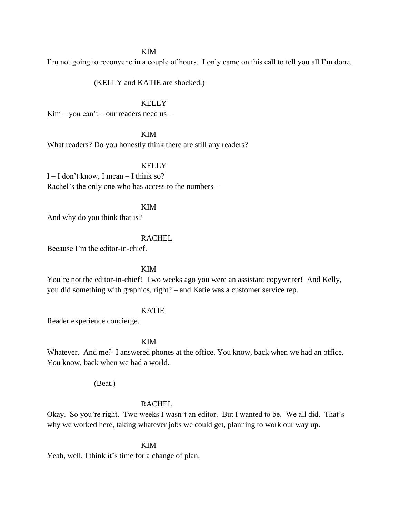#### KIM

I'm not going to reconvene in a couple of hours. I only came on this call to tell you all I'm done.

(KELLY and KATIE are shocked.)

### KELLY

 $Kim - you can't - our readers need us -$ 

KIM

What readers? Do you honestly think there are still any readers?

# **KELLY**

I – I don't know, I mean – I think so? Rachel's the only one who has access to the numbers –

#### KIM

And why do you think that is?

### RACHEL

Because I'm the editor-in-chief.

# KIM

You're not the editor-in-chief! Two weeks ago you were an assistant copywriter! And Kelly, you did something with graphics, right? – and Katie was a customer service rep.

### KATIE

Reader experience concierge.

### KIM

Whatever. And me? I answered phones at the office. You know, back when we had an office. You know, back when we had a world.

(Beat.)

### RACHEL

Okay. So you're right. Two weeks I wasn't an editor. But I wanted to be. We all did. That's why we worked here, taking whatever jobs we could get, planning to work our way up.

KIM

Yeah, well, I think it's time for a change of plan.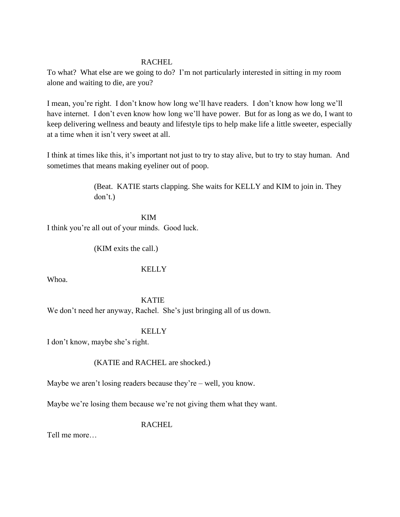# RACHEL

To what? What else are we going to do? I'm not particularly interested in sitting in my room alone and waiting to die, are you?

I mean, you're right. I don't know how long we'll have readers. I don't know how long we'll have internet. I don't even know how long we'll have power. But for as long as we do, I want to keep delivering wellness and beauty and lifestyle tips to help make life a little sweeter, especially at a time when it isn't very sweet at all.

I think at times like this, it's important not just to try to stay alive, but to try to stay human. And sometimes that means making eyeliner out of poop.

> (Beat. KATIE starts clapping. She waits for KELLY and KIM to join in. They don't.)

KIM I think you're all out of your minds. Good luck.

(KIM exits the call.)

# **KELLY**

Whoa.

KATIE We don't need her anyway, Rachel. She's just bringing all of us down.

**KELLY** 

I don't know, maybe she's right.

(KATIE and RACHEL are shocked.)

Maybe we aren't losing readers because they're – well, you know.

Maybe we're losing them because we're not giving them what they want.

RACHEL

Tell me more…